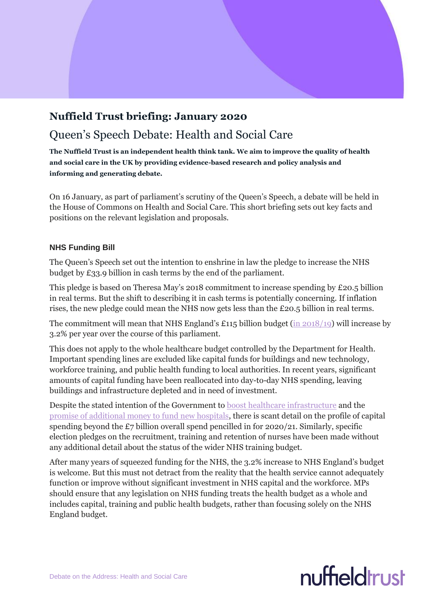# **Nuffield Trust briefing: January 2020** Queen's Speech Debate: Health and Social Care

**The Nuffield Trust is an independent health think tank. We aim to improve the quality of health and social care in the UK by providing evidence-based research and policy analysis and informing and generating debate.**

On 16 January, as part of parliament's scrutiny of the Queen's Speech, a debate will be held in the House of Commons on Health and Social Care. This short briefing sets out key facts and positions on the relevant legislation and proposals.

# **NHS Funding Bill**

The Queen's Speech set out the intention to enshrine in law the pledge to increase the NHS budget by £33.9 billion in cash terms by the end of the parliament.

This pledge is based on Theresa May's 2018 commitment to increase spending by £20.5 billion in real terms. But the shift to describing it in cash terms is potentially concerning. If inflation rises, the new pledge could mean the NHS now gets less than the £20.5 billion in real terms.

The commitment will mean that NHS England's £115 billion budget [\(in 2018/19\)](https://www.nuffieldtrust.org.uk/chart/nhs-england-funding-settlement-2018-19-2023-24) will increase by 3.2% per year over the course of this parliament.

This does not apply to the whole healthcare budget controlled by the Department for Health. Important spending lines are excluded like capital funds for buildings and new technology, workforce training, and public health funding to local authorities. In recent years, significant amounts of capital funding have been reallocated into day-to-day NHS spending, leaving buildings and infrastructure depleted and in need of investment.

Despite the stated intention of the Government to [boost healthcare infrastructure](https://policyexchange.org.uk/pxevents/keynote-speech-by-the-rt-hon-matt-hancock-mp/) and the [promise of additional money to fund new hospitals,](https://www.bbc.co.uk/news/uk-politics-49867376) there is scant detail on the profile of capital spending beyond the £7 billion overall spend pencilled in for 2020/21. Similarly, specific election pledges on the recruitment, training and retention of nurses have been made without any additional detail about the status of the wider NHS training budget.

After many years of squeezed funding for the NHS, the 3.2% increase to NHS England's budget is welcome. But this must not detract from the reality that the health service cannot adequately function or improve without significant investment in NHS capital and the workforce. MPs should ensure that any legislation on NHS funding treats the health budget as a whole and includes capital, training and public health budgets, rather than focusing solely on the NHS England budget.

# nuffieldrust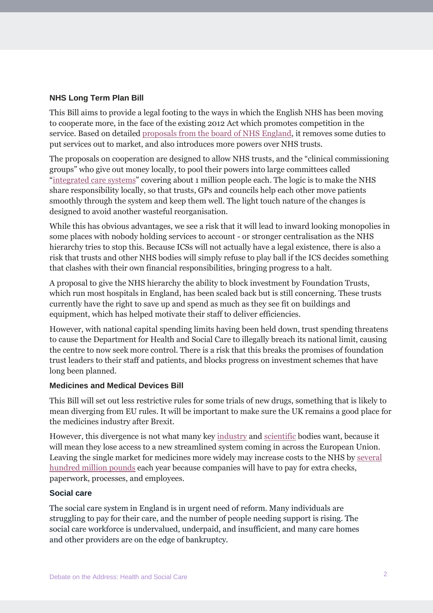## **NHS Long Term Plan Bill**

This Bill aims to provide a legal footing to the ways in which the English NHS has been moving to cooperate more, in the face of the existing 2012 Act which promotes competition in the service. Based on detailed [proposals](https://www.england.nhs.uk/publication/nhs-england-and-nhs-improvement-board-meetings-in-common-agenda-and-papers-26-september-2019/) from the board of NHS England, it removes some duties to put services out to market, and also introduces more powers over NHS trusts.

The proposals on cooperation are designed to allow NHS trusts, and the "clinical commissioning groups" who give out money locally, to pool their powers into large committees called "[integrated](https://www.england.nhs.uk/integratedcare/integrated-care-systems/) care systems" covering about 1 million people each. The logic is to make the NHS share responsibility locally, so that trusts, GPs and councils help each other move patients smoothly through the system and keep them well. The light touch nature of the changes is designed to avoid another wasteful reorganisation.

While this has obvious advantages, we see a risk that it will lead to inward looking monopolies in some places with nobody holding services to account - or stronger centralisation as the NHS hierarchy tries to stop this. Because ICSs will not actually have a legal existence, there is also a risk that trusts and other NHS bodies will simply refuse to play ball if the ICS decides something that clashes with their own financial responsibilities, bringing progress to a halt.

A proposal to give the NHS hierarchy the ability to block investment by Foundation Trusts, which run most hospitals in England, has been scaled back but is still concerning. These trusts currently have the right to save up and spend as much as they see fit on buildings and equipment, which has helped motivate their staff to deliver efficiencies.

However, with national capital spending limits having been held down, trust spending threatens to cause the Department for Health and Social Care to illegally breach its national limit, causing the centre to now seek more control. There is a risk that this breaks the promises of foundation trust leaders to their staff and patients, and blocks progress on investment schemes that have long been planned.

### **Medicines and Medical Devices Bill**

This Bill will set out less restrictive rules for some trials of new drugs, something that is likely to mean diverging from EU rules. It will be important to make sure the UK remains a good place for the medicines industry after Brexit.

However, this divergence is not what many key [industry](https://www.abpi.org.uk/media/5961/brexit-impact-patient-access-medicines-medical-technology.pdf) and [scientific](https://wellcome.ac.uk/reports/regulation-clinical-trials-brexit-and-beyond) bodies want, because it will mean they lose access to a new streamlined system coming in across the European Union. Leaving the single market for medicines more widely may increase costs to the NHS by [several](https://www.nuffieldtrust.org.uk/news-item/binning-the-brexit-backstop-the-impact-on-the-nhs#terms-of-trade) [hundred](https://www.nuffieldtrust.org.uk/news-item/binning-the-brexit-backstop-the-impact-on-the-nhs#terms-of-trade) million pounds each year because companies will have to pay for extra checks, paperwork, processes, and employees.

### **Social care**

The social care system in England is in urgent need of reform. Many individuals are struggling to pay for their care, and the number of people needing support is rising. The social care workforce is undervalued, underpaid, and insufficient, and many care homes and other providers are on the edge of bankruptcy.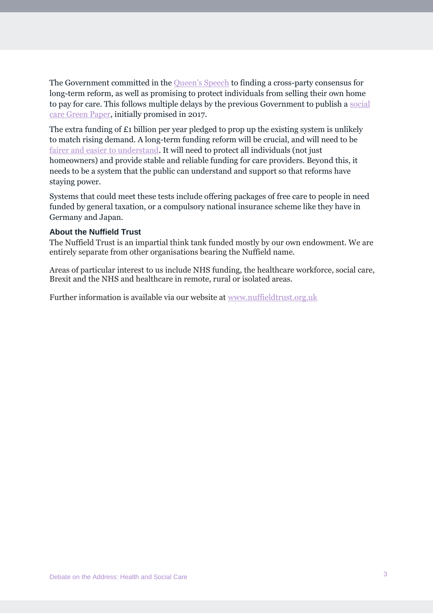The Government committed in the [Queen's Speech](https://researchbriefings.parliament.uk/ResearchBriefing/Summary/CDP-2020-0001) to finding a cross-party consensus for long-term reform, as well as promising to protect individuals from selling their own home to pay for care. This follows multiple delays by the previous Government to publish a [social](https://researchbriefings.parliament.uk/ResearchBriefing/Summary/CBP-8002)  [care Green Paper,](https://researchbriefings.parliament.uk/ResearchBriefing/Summary/CBP-8002) initially promised in 2017.

The extra funding of £1 billion per year pledged to prop up the existing system is unlikely to match rising demand. A long-term funding reform will be crucial, and will need to be [fairer and easier to understand.](https://www.nuffieldtrust.org.uk/chart/social-care-funding-options) It will need to protect all individuals (not just homeowners) and provide stable and reliable funding for care providers. Beyond this, it needs to be a system that the public can understand and support so that reforms have staying power.

Systems that could meet these tests include offering packages of free care to people in need funded by general taxation, or a compulsory national insurance scheme like they have in Germany and Japan.

### **About the Nuffield Trust**

The Nuffield Trust is an impartial think tank funded mostly by our own endowment. We are entirely separate from other organisations bearing the Nuffield name.

Areas of particular interest to us include NHS funding, the healthcare workforce, social care, Brexit and the NHS and healthcare in remote, rural or isolated areas.

Further information is available via our website at [www.nuffieldtrust.org.uk](http://www.nuffieldtrust.org.uk/)